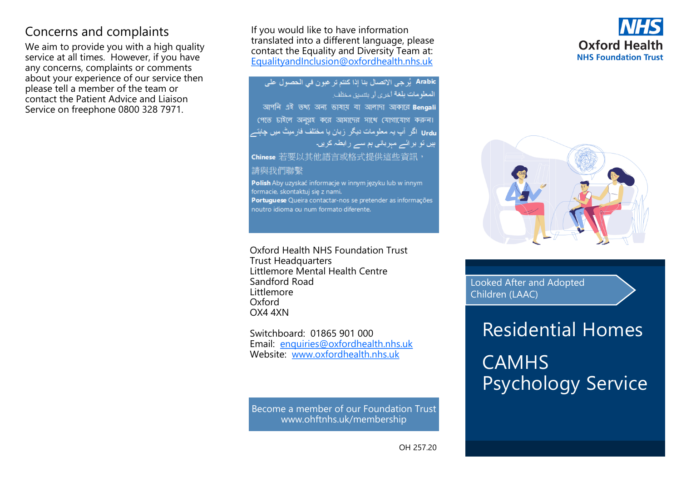## Concerns and complaints

We aim to provide you with a high quality service at all times. However, if you have any concerns, complaints or comments about your experience of our service then please tell a member of the team or contact the Patient Advice and Liaison Service on freephone 0800 328 7971.

If you would like to have information translated into a different language, please contact the Equality and Diversity Team at: [EqualityandInclusion@oxfordhealth.nhs.uk](mailto:EqualityandInclusion@oxfordhealth.nhs.uk)

Arabic يُرجى الاتصال بنا إذا كنتم تر غبو ن في الحصول على المعلومات بلغة أخرى أو بتتسيق مختلف আপনি এই তথ্য অন্য ভাষায় বা আলাদা আকারে Bengali পেতে চাইলে অনুগ্রহ করে আমাদের সাথে যোগাযোগ করুন। Urdu اگر آپ یہ معلومات دیگر زبان یا مختلف فار میٹ میں چاہتہ بیں تو بر ائے مہربانی بم سے رابطہ کریں۔ Chinese 若要以其他語言或格式提供這些資訊, 請與我們聯繫 Polish Aby uzyskać informacje w innym języku lub w innym formacie, skontaktui sie z nami. Portuguese Queira contactar-nos se pretender as informações noutro idioma ou num formato diferente.

Oxford Health NHS Foundation Trust Trust Headquarters Littlemore Mental Health Centre Sandford Road Littlemore Oxford OX4 4XN

Switchboard: 01865 901 000 Email: enquiries@oxfordhealth.nhs.uk Website: www.oxfordhealth.nhs.uk

Become a member of our Foundation Trust www.ohftnhs.uk/membership

## **Oxford Health NHS Foundation Trust**



Looked After and Adopted Children (LAAC)

## Residential Homes **CAMHS**

Psychology Service

OH 257.20